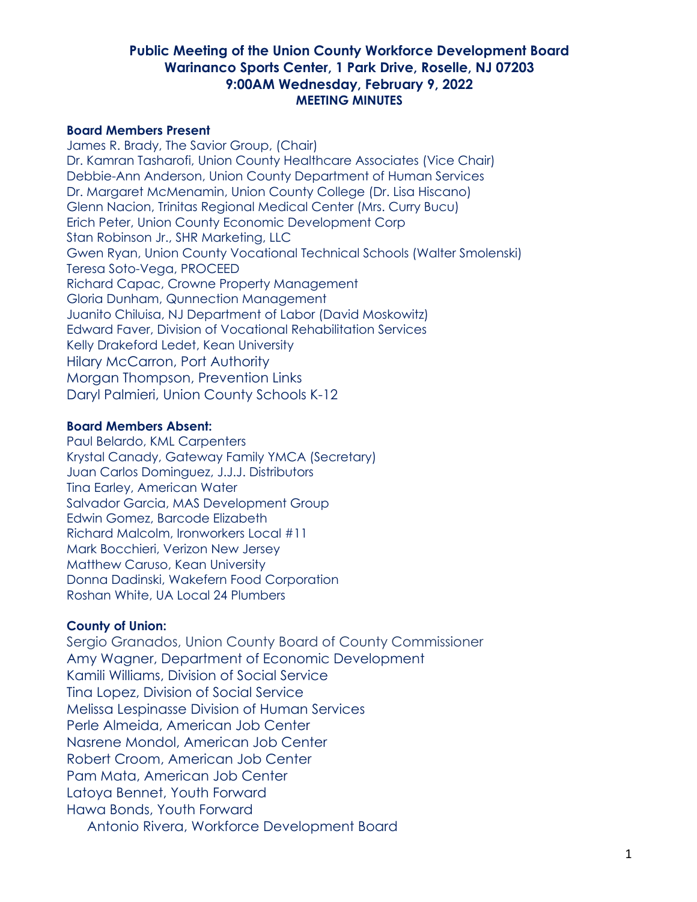#### **Board Members Present**

James R. Brady, The Savior Group, (Chair) Dr. Kamran Tasharofi, Union County Healthcare Associates (Vice Chair) Debbie-Ann Anderson, Union County Department of Human Services Dr. Margaret McMenamin, Union County College (Dr. Lisa Hiscano) Glenn Nacion, Trinitas Regional Medical Center (Mrs. Curry Bucu) Erich Peter, Union County Economic Development Corp Stan Robinson Jr., SHR Marketing, LLC Gwen Ryan, Union County Vocational Technical Schools (Walter Smolenski) Teresa Soto-Vega, PROCEED Richard Capac, Crowne Property Management Gloria Dunham, Qunnection Management Juanito Chiluisa, NJ Department of Labor (David Moskowitz) Edward Faver, Division of Vocational Rehabilitation Services Kelly Drakeford Ledet, Kean University Hilary McCarron, Port Authority Morgan Thompson, Prevention Links Daryl Palmieri, Union County Schools K-12

#### **Board Members Absent:**

Paul Belardo, KML Carpenters Krystal Canady, Gateway Family YMCA (Secretary) Juan Carlos Dominguez, J.J.J. Distributors Tina Earley, American Water Salvador Garcia, MAS Development Group Edwin Gomez, Barcode Elizabeth Richard Malcolm, Ironworkers Local #11 Mark Bocchieri, Verizon New Jersey Matthew Caruso, Kean University Donna Dadinski, Wakefern Food Corporation Roshan White, UA Local 24 Plumbers

#### **County of Union:**

Sergio Granados, Union County Board of County Commissioner Amy Wagner, Department of Economic Development Kamili Williams, Division of Social Service Tina Lopez, Division of Social Service Melissa Lespinasse Division of Human Services Perle Almeida, American Job Center Nasrene Mondol, American Job Center Robert Croom, American Job Center Pam Mata, American Job Center Latoya Bennet, Youth Forward Hawa Bonds, Youth Forward Antonio Rivera, Workforce Development Board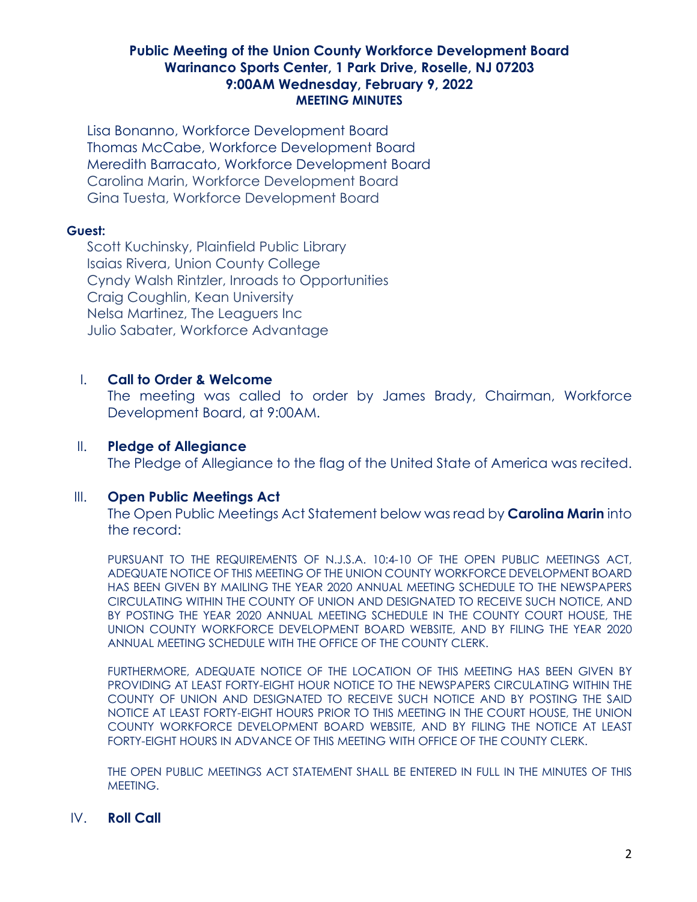Lisa Bonanno, Workforce Development Board Thomas McCabe, Workforce Development Board Meredith Barracato, Workforce Development Board Carolina Marin, Workforce Development Board Gina Tuesta, Workforce Development Board

#### **Guest:**

Scott Kuchinsky, Plainfield Public Library Isaias Rivera, Union County College Cyndy Walsh Rintzler, Inroads to Opportunities Craig Coughlin, Kean University Nelsa Martinez, The Leaguers Inc Julio Sabater, Workforce Advantage

### I. **Call to Order & Welcome**

The meeting was called to order by James Brady, Chairman, Workforce Development Board, at 9:00AM.

# II. **Pledge of Allegiance**

The Pledge of Allegiance to the flag of the United State of America was recited.

### III. **Open Public Meetings Act**

The Open Public Meetings Act Statement below was read by **Carolina Marin** into the record:

PURSUANT TO THE REQUIREMENTS OF N.J.S.A. 10:4-10 OF THE OPEN PUBLIC MEETINGS ACT, ADEQUATE NOTICE OF THIS MEETING OF THE UNION COUNTY WORKFORCE DEVELOPMENT BOARD HAS BEEN GIVEN BY MAILING THE YEAR 2020 ANNUAL MEETING SCHEDULE TO THE NEWSPAPERS CIRCULATING WITHIN THE COUNTY OF UNION AND DESIGNATED TO RECEIVE SUCH NOTICE, AND BY POSTING THE YEAR 2020 ANNUAL MEETING SCHEDULE IN THE COUNTY COURT HOUSE, THE UNION COUNTY WORKFORCE DEVELOPMENT BOARD WEBSITE, AND BY FILING THE YEAR 2020 ANNUAL MEETING SCHEDULE WITH THE OFFICE OF THE COUNTY CLERK.

FURTHERMORE, ADEQUATE NOTICE OF THE LOCATION OF THIS MEETING HAS BEEN GIVEN BY PROVIDING AT LEAST FORTY-EIGHT HOUR NOTICE TO THE NEWSPAPERS CIRCULATING WITHIN THE COUNTY OF UNION AND DESIGNATED TO RECEIVE SUCH NOTICE AND BY POSTING THE SAID NOTICE AT LEAST FORTY-EIGHT HOURS PRIOR TO THIS MEETING IN THE COURT HOUSE, THE UNION COUNTY WORKFORCE DEVELOPMENT BOARD WEBSITE, AND BY FILING THE NOTICE AT LEAST FORTY-EIGHT HOURS IN ADVANCE OF THIS MEETING WITH OFFICE OF THE COUNTY CLERK.

THE OPEN PUBLIC MEETINGS ACT STATEMENT SHALL BE ENTERED IN FULL IN THE MINUTES OF THIS MEETING.

### IV. **Roll Call**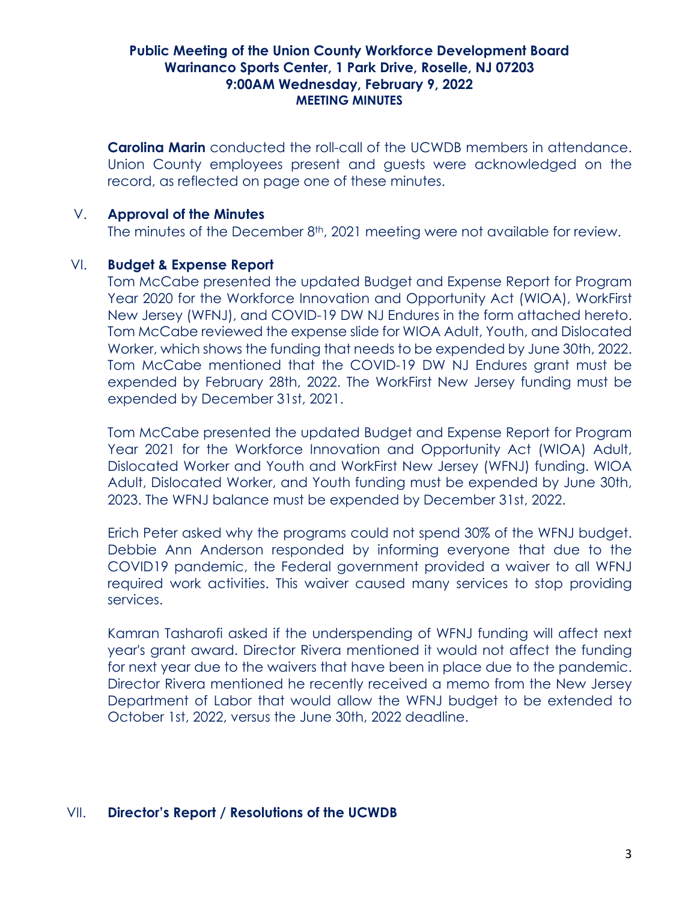**Carolina Marin** conducted the roll-call of the UCWDB members in attendance. Union County employees present and guests were acknowledged on the record, as reflected on page one of these minutes.

#### V. **Approval of the Minutes**

The minutes of the December 8<sup>th</sup>, 2021 meeting were not available for review.

#### VI. **Budget & Expense Report**

Tom McCabe presented the updated Budget and Expense Report for Program Year 2020 for the Workforce Innovation and Opportunity Act (WIOA), WorkFirst New Jersey (WFNJ), and COVID-19 DW NJ Endures in the form attached hereto. Tom McCabe reviewed the expense slide for WIOA Adult, Youth, and Dislocated Worker, which shows the funding that needs to be expended by June 30th, 2022. Tom McCabe mentioned that the COVID-19 DW NJ Endures grant must be expended by February 28th, 2022. The WorkFirst New Jersey funding must be expended by December 31st, 2021.

Tom McCabe presented the updated Budget and Expense Report for Program Year 2021 for the Workforce Innovation and Opportunity Act (WIOA) Adult, Dislocated Worker and Youth and WorkFirst New Jersey (WFNJ) funding. WIOA Adult, Dislocated Worker, and Youth funding must be expended by June 30th, 2023. The WFNJ balance must be expended by December 31st, 2022.

Erich Peter asked why the programs could not spend 30% of the WFNJ budget. Debbie Ann Anderson responded by informing everyone that due to the COVID19 pandemic, the Federal government provided a waiver to all WFNJ required work activities. This waiver caused many services to stop providing services.

Kamran Tasharofi asked if the underspending of WFNJ funding will affect next year's grant award. Director Rivera mentioned it would not affect the funding for next year due to the waivers that have been in place due to the pandemic. Director Rivera mentioned he recently received a memo from the New Jersey Department of Labor that would allow the WFNJ budget to be extended to October 1st, 2022, versus the June 30th, 2022 deadline.

### VII. **Director's Report / Resolutions of the UCWDB**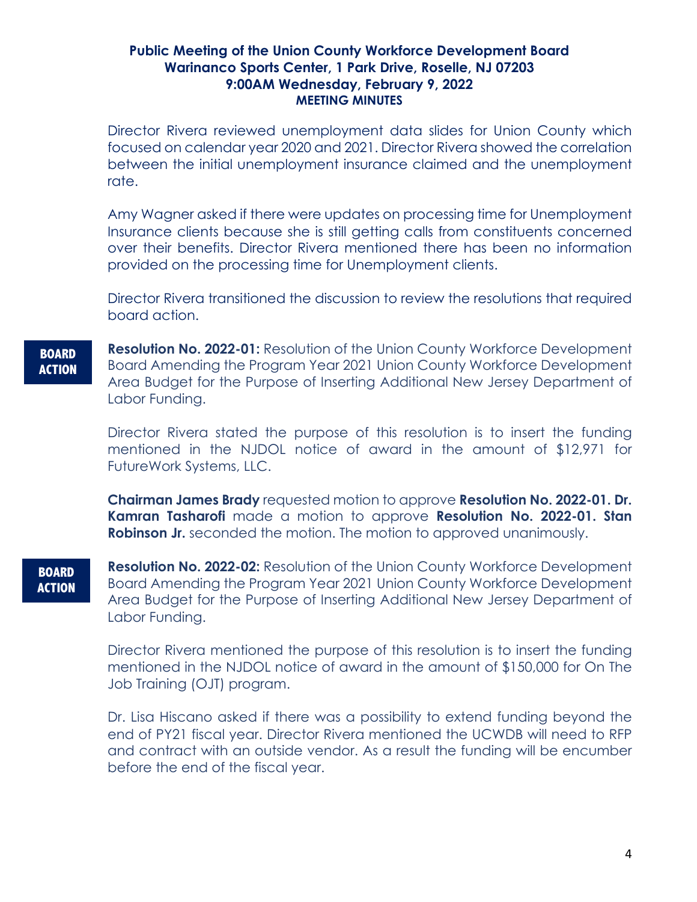Director Rivera reviewed unemployment data slides for Union County which focused on calendar year 2020 and 2021. Director Rivera showed the correlation between the initial unemployment insurance claimed and the unemployment rate.

Amy Wagner asked if there were updates on processing time for Unemployment Insurance clients because she is still getting calls from constituents concerned over their benefits. Director Rivera mentioned there has been no information provided on the processing time for Unemployment clients.

Director Rivera transitioned the discussion to review the resolutions that required board action.

**BOARD ACTION**

**Resolution No. 2022-01:** Resolution of the Union County Workforce Development Board Amending the Program Year 2021 Union County Workforce Development Area Budget for the Purpose of Inserting Additional New Jersey Department of Labor Funding.

Director Rivera stated the purpose of this resolution is to insert the funding mentioned in the NJDOL notice of award in the amount of \$12,971 for FutureWork Systems, LLC.

**Chairman James Brady** requested motion to approve **Resolution No. 2022-01. Dr. Kamran Tasharofi** made a motion to approve **Resolution No. 2022-01. Stan Robinson Jr.** seconded the motion. The motion to approved unanimously.

**BOARD ACTION**

**Resolution No. 2022-02:** Resolution of the Union County Workforce Development Board Amending the Program Year 2021 Union County Workforce Development Area Budget for the Purpose of Inserting Additional New Jersey Department of Labor Funding.

Director Rivera mentioned the purpose of this resolution is to insert the funding mentioned in the NJDOL notice of award in the amount of \$150,000 for On The Job Training (OJT) program.

Dr. Lisa Hiscano asked if there was a possibility to extend funding beyond the end of PY21 fiscal year. Director Rivera mentioned the UCWDB will need to RFP and contract with an outside vendor. As a result the funding will be encumber before the end of the fiscal year.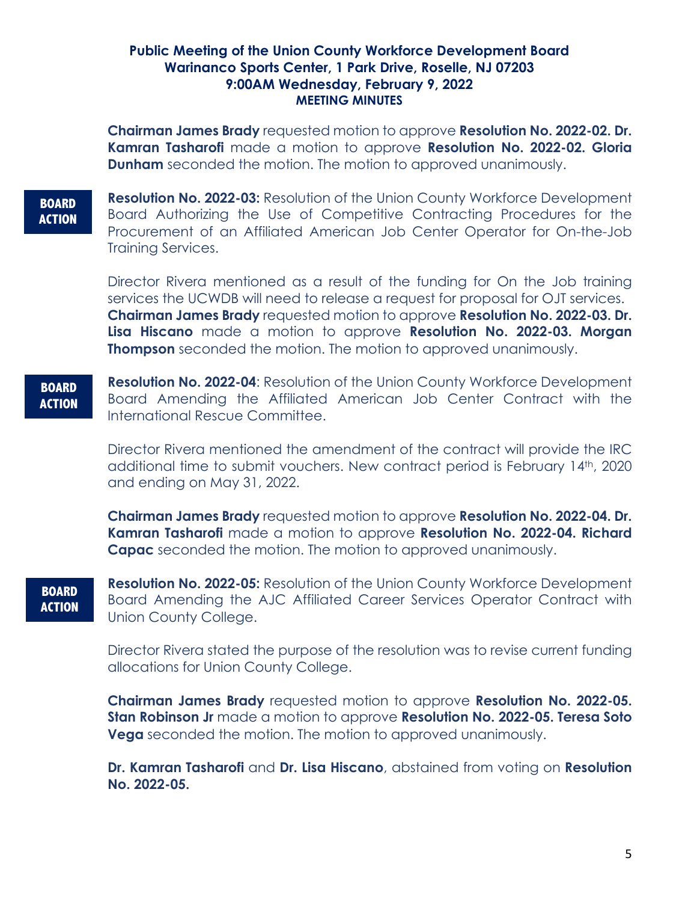**Chairman James Brady** requested motion to approve **Resolution No. 2022-02. Dr. Kamran Tasharofi** made a motion to approve **Resolution No. 2022-02. Gloria Dunham** seconded the motion. The motion to approved unanimously.

**BOARD ACTION**

**Resolution No. 2022-03:** Resolution of the Union County Workforce Development Board Authorizing the Use of Competitive Contracting Procedures for the Procurement of an Affiliated American Job Center Operator for On-the-Job Training Services.

Director Rivera mentioned as a result of the funding for On the Job training services the UCWDB will need to release a request for proposal for OJT services. **Chairman James Brady** requested motion to approve **Resolution No. 2022-03. Dr. Lisa Hiscano** made a motion to approve **Resolution No. 2022-03. Morgan Thompson** seconded the motion. The motion to approved unanimously.

**BOARD ACTION**

**Resolution No. 2022-04**: Resolution of the Union County Workforce Development Board Amending the Affiliated American Job Center Contract with the International Rescue Committee.

Director Rivera mentioned the amendment of the contract will provide the IRC additional time to submit vouchers. New contract period is February 14th, 2020 and ending on May 31, 2022.

**Chairman James Brady** requested motion to approve **Resolution No. 2022-04. Dr. Kamran Tasharofi** made a motion to approve **Resolution No. 2022-04. Richard Capac** seconded the motion. The motion to approved unanimously.

**BOARD ACTION** **Resolution No. 2022-05:** Resolution of the Union County Workforce Development Board Amending the AJC Affiliated Career Services Operator Contract with Union County College.

Director Rivera stated the purpose of the resolution was to revise current funding allocations for Union County College.

**Chairman James Brady** requested motion to approve **Resolution No. 2022-05. Stan Robinson Jr** made a motion to approve **Resolution No. 2022-05. Teresa Soto Vega** seconded the motion. The motion to approved unanimously.

**Dr. Kamran Tasharofi** and **Dr. Lisa Hiscano**, abstained from voting on **Resolution No. 2022-05.**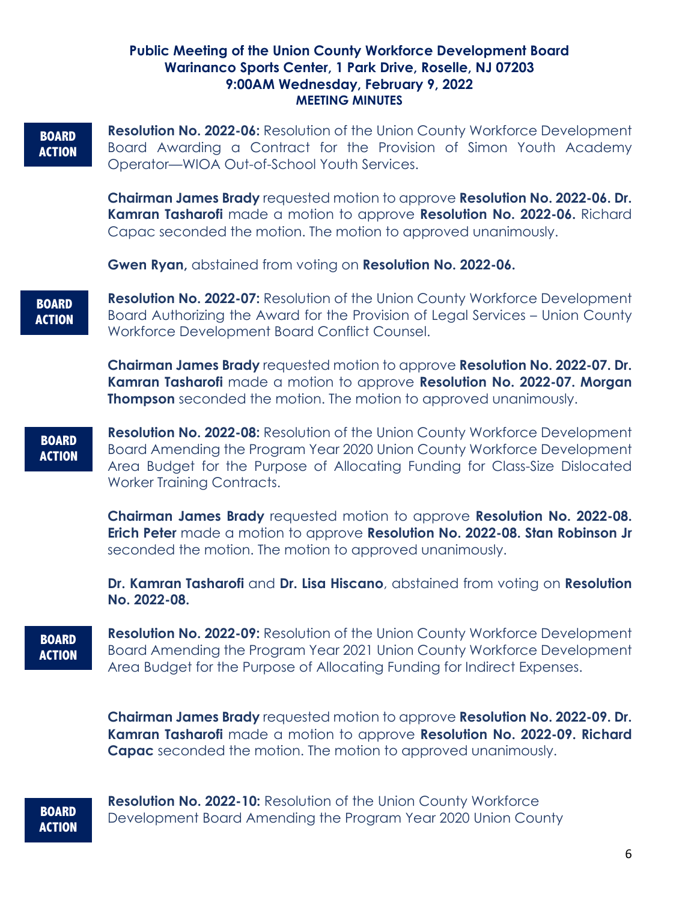#### **BOARD ACTION**

**Resolution No. 2022-06:** Resolution of the Union County Workforce Development Board Awarding a Contract for the Provision of Simon Youth Academy Operator—WIOA Out-of-School Youth Services.

**Chairman James Brady** requested motion to approve **Resolution No. 2022-06. Dr. Kamran Tasharofi** made a motion to approve **Resolution No. 2022-06.** Richard Capac seconded the motion. The motion to approved unanimously.

**Gwen Ryan,** abstained from voting on **Resolution No. 2022-06.**

**BOARD ACTION** **Resolution No. 2022-07:** Resolution of the Union County Workforce Development Board Authorizing the Award for the Provision of Legal Services – Union County Workforce Development Board Conflict Counsel.

**Chairman James Brady** requested motion to approve **Resolution No. 2022-07. Dr. Kamran Tasharofi** made a motion to approve **Resolution No. 2022-07. Morgan Thompson** seconded the motion. The motion to approved unanimously.

#### **BOARD ACTION**

**Resolution No. 2022-08:** Resolution of the Union County Workforce Development Board Amending the Program Year 2020 Union County Workforce Development Area Budget for the Purpose of Allocating Funding for Class-Size Dislocated Worker Training Contracts.

**Chairman James Brady** requested motion to approve **Resolution No. 2022-08. Erich Peter** made a motion to approve **Resolution No. 2022-08. Stan Robinson Jr** seconded the motion. The motion to approved unanimously.

**Dr. Kamran Tasharofi** and **Dr. Lisa Hiscano**, abstained from voting on **Resolution No. 2022-08.** 

# **BOARD ACTION**

**Resolution No. 2022-09:** Resolution of the Union County Workforce Development Board Amending the Program Year 2021 Union County Workforce Development Area Budget for the Purpose of Allocating Funding for Indirect Expenses.

**Chairman James Brady** requested motion to approve **Resolution No. 2022-09. Dr. Kamran Tasharofi** made a motion to approve **Resolution No. 2022-09. Richard Capac** seconded the motion. The motion to approved unanimously.

# **BOARD ACTION**

**Resolution No. 2022-10:** Resolution of the Union County Workforce Development Board Amending the Program Year 2020 Union County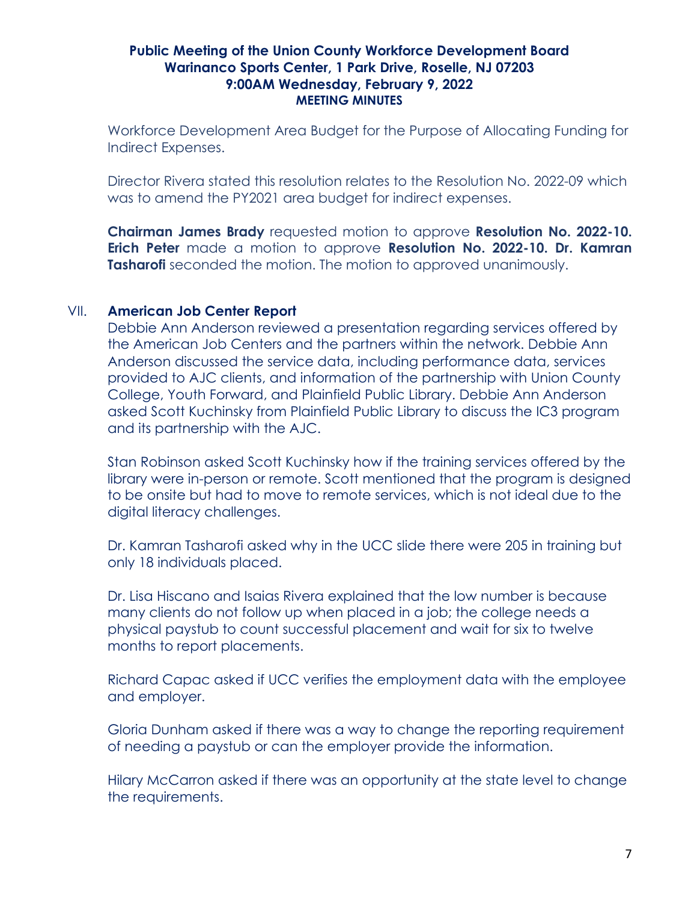Workforce Development Area Budget for the Purpose of Allocating Funding for Indirect Expenses.

Director Rivera stated this resolution relates to the Resolution No. 2022-09 which was to amend the PY2021 area budget for indirect expenses.

**Chairman James Brady** requested motion to approve **Resolution No. 2022-10. Erich Peter** made a motion to approve **Resolution No. 2022-10. Dr. Kamran Tasharofi** seconded the motion. The motion to approved unanimously.

### VII. **American Job Center Report**

Debbie Ann Anderson reviewed a presentation regarding services offered by the American Job Centers and the partners within the network. Debbie Ann Anderson discussed the service data, including performance data, services provided to AJC clients, and information of the partnership with Union County College, Youth Forward, and Plainfield Public Library. Debbie Ann Anderson asked Scott Kuchinsky from Plainfield Public Library to discuss the IC3 program and its partnership with the AJC.

Stan Robinson asked Scott Kuchinsky how if the training services offered by the library were in-person or remote. Scott mentioned that the program is designed to be onsite but had to move to remote services, which is not ideal due to the digital literacy challenges.

Dr. Kamran Tasharofi asked why in the UCC slide there were 205 in training but only 18 individuals placed.

Dr. Lisa Hiscano and Isaias Rivera explained that the low number is because many clients do not follow up when placed in a job; the college needs a physical paystub to count successful placement and wait for six to twelve months to report placements.

Richard Capac asked if UCC verifies the employment data with the employee and employer.

Gloria Dunham asked if there was a way to change the reporting requirement of needing a paystub or can the employer provide the information.

Hilary McCarron asked if there was an opportunity at the state level to change the requirements.